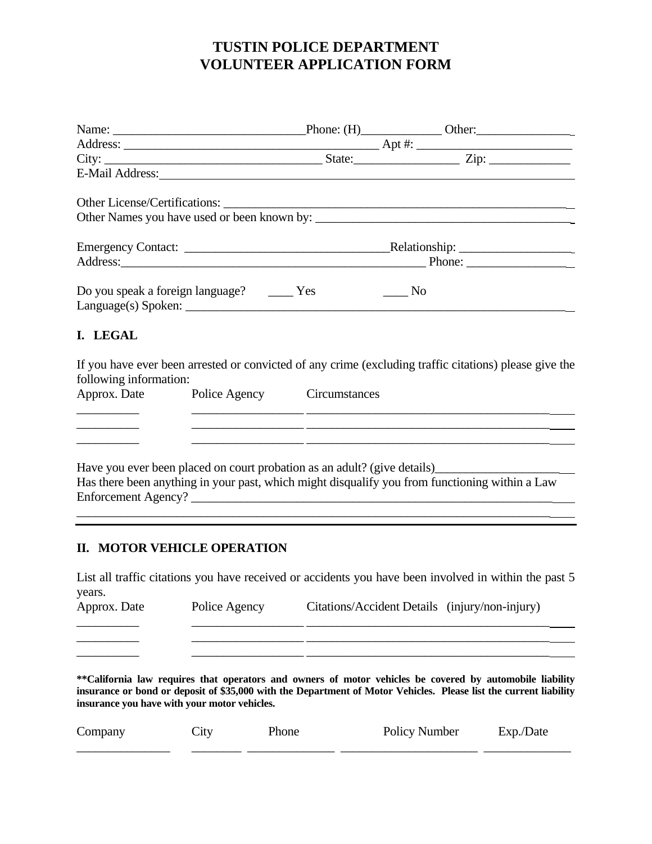# **TUSTIN POLICE DEPARTMENT VOLUNTEER APPLICATION FORM**

|                        |                                                                               | Address: Phone: Phone: Phone: Phone: Phone: Phone: Phone: Phone: Phone: Phone: Phone: Phone: Phone: Phone: Phone: Phone: Phone: Phone: Phone: Phone: Phone: Phone: Phone: Phone: Phone: Phone: Phone: Phone: Phone: Phone: Pho                                                                              |
|------------------------|-------------------------------------------------------------------------------|-------------------------------------------------------------------------------------------------------------------------------------------------------------------------------------------------------------------------------------------------------------------------------------------------------------|
| I. LEGAL               | Do you speak a foreign language? ________ Yes<br>$Language(s)$ Spoken: $\_\_$ | $\_\_$ No                                                                                                                                                                                                                                                                                                   |
| following information: | Approx. Date Police Agency Circumstances                                      | If you have ever been arrested or convicted of any crime (excluding traffic citations) please give the<br><u> 1990 - Jan James James James James James James James James James James James James James James James James J</u>                                                                              |
|                        |                                                                               | <u> 1989 - Johann Stoff, fransk politik (d. 1989)</u><br><u> 1999 - Jan James James (f. 1989)</u><br>Have you ever been placed on court probation as an adult? (give details)____________________________<br>Has there been anything in your past, which might disqualify you from functioning within a Law |

## **II. MOTOR VEHICLE OPERATION**

List all traffic citations you have received or accidents you have been involved in within the past 5 years.

\_\_\_\_\_\_\_\_\_\_ \_\_\_\_\_\_\_\_\_\_\_\_\_\_\_\_\_\_ \_\_\_\_\_\_\_\_\_\_\_\_\_\_\_\_\_\_\_\_\_\_\_\_\_\_\_\_\_\_\_\_\_\_\_\_\_\_\_

Approx. Date Police Agency Citations/Accident Details (injury/non-injury) \_\_\_\_\_\_\_\_\_\_ \_\_\_\_\_\_\_\_\_\_\_\_\_\_\_\_\_\_ \_\_\_\_\_\_\_\_\_\_\_\_\_\_\_\_\_\_\_\_\_\_\_\_\_\_\_\_\_\_\_\_\_\_\_\_\_\_\_

\_\_\_\_\_\_\_\_\_\_ \_\_\_\_\_\_\_\_\_\_\_\_\_\_\_\_\_\_ \_\_\_\_\_\_\_\_\_\_\_\_\_\_\_\_\_\_\_\_\_\_\_\_\_\_\_\_\_\_\_\_\_\_\_\_\_\_\_

**\*\*California law requires that operators and owners of motor vehicles be covered by automobile liability insurance or bond or deposit of \$35,000 with the Department of Motor Vehicles. Please list the current liability insurance you have with your motor vehicles.** 

| Company | $\mathcal{L}$ ltv | Phone | Policy Number | Date<br>Exp.' |
|---------|-------------------|-------|---------------|---------------|
|         |                   |       |               |               |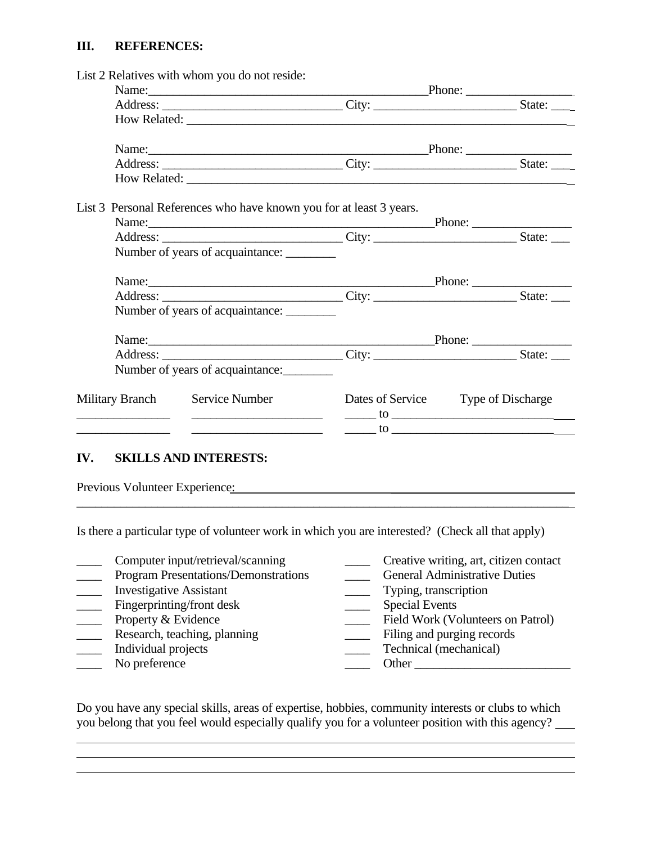#### **III. REFERENCES:**

| List 2 Relatives with whom you do not reside:                                                                                                           |                                                                                                                                                                                                                                                                                                                                        |                        |  |  |
|---------------------------------------------------------------------------------------------------------------------------------------------------------|----------------------------------------------------------------------------------------------------------------------------------------------------------------------------------------------------------------------------------------------------------------------------------------------------------------------------------------|------------------------|--|--|
| Name: Phone: Phone:                                                                                                                                     |                                                                                                                                                                                                                                                                                                                                        |                        |  |  |
|                                                                                                                                                         |                                                                                                                                                                                                                                                                                                                                        |                        |  |  |
|                                                                                                                                                         |                                                                                                                                                                                                                                                                                                                                        |                        |  |  |
| Name: Phone: Phone:                                                                                                                                     |                                                                                                                                                                                                                                                                                                                                        |                        |  |  |
|                                                                                                                                                         |                                                                                                                                                                                                                                                                                                                                        |                        |  |  |
|                                                                                                                                                         |                                                                                                                                                                                                                                                                                                                                        |                        |  |  |
| List 3 Personal References who have known you for at least 3 years.                                                                                     |                                                                                                                                                                                                                                                                                                                                        |                        |  |  |
|                                                                                                                                                         |                                                                                                                                                                                                                                                                                                                                        | Phone: $\qquad \qquad$ |  |  |
|                                                                                                                                                         |                                                                                                                                                                                                                                                                                                                                        |                        |  |  |
| Number of years of acquaintance:                                                                                                                        |                                                                                                                                                                                                                                                                                                                                        |                        |  |  |
|                                                                                                                                                         | Name: Phone: Phone:                                                                                                                                                                                                                                                                                                                    |                        |  |  |
|                                                                                                                                                         |                                                                                                                                                                                                                                                                                                                                        |                        |  |  |
|                                                                                                                                                         |                                                                                                                                                                                                                                                                                                                                        |                        |  |  |
| Number of years of acquaintance:                                                                                                                        |                                                                                                                                                                                                                                                                                                                                        |                        |  |  |
|                                                                                                                                                         |                                                                                                                                                                                                                                                                                                                                        |                        |  |  |
| Name: Phone: Phone:                                                                                                                                     |                                                                                                                                                                                                                                                                                                                                        |                        |  |  |
| Number of years of acquaintance:                                                                                                                        |                                                                                                                                                                                                                                                                                                                                        |                        |  |  |
| Military Branch Service Number<br><u> 1989 - Johann Harry Barn, mars and de Branch and de Branch and de Branch and de Branch and de Branch and de B</u> | Dates of Service Type of Discharge<br>$\frac{1}{2}$ to $\frac{1}{2}$ to $\frac{1}{2}$ to $\frac{1}{2}$ to $\frac{1}{2}$ to $\frac{1}{2}$ to $\frac{1}{2}$ to $\frac{1}{2}$ to $\frac{1}{2}$ to $\frac{1}{2}$ to $\frac{1}{2}$ to $\frac{1}{2}$ to $\frac{1}{2}$ to $\frac{1}{2}$ to $\frac{1}{2}$ to $\frac{1}{2}$ to $\frac{1}{2}$ to |                        |  |  |

### **IV. SKILLS AND INTERESTS:**

Previous Volunteer Experience: The Contract of the Contract of the Contract of the Contract of the Contract of the Contract of the Contract of the Contract of the Contract of the Contract of the Contract of the Contract of

Is there a particular type of volunteer work in which you are interested? (Check all that apply)

\_\_\_\_\_\_\_\_\_\_\_\_\_\_\_\_\_\_\_\_\_\_\_\_\_\_\_\_\_\_\_\_\_\_\_\_\_\_\_\_\_\_\_\_\_\_\_\_\_\_\_\_\_\_\_\_\_\_\_\_\_\_\_\_\_\_\_\_\_\_\_\_\_\_\_\_\_\_\_

- \_\_\_\_ Computer input/retrieval/scanning \_\_\_\_ Creative writing, art, citizen contact
- 
- 
- Fingerprinting/front desk Special Events<br>Property & Evidence Tield Work (Vo
- 
- 
- 
- 

 $\overline{a}$  $\overline{a}$ 

- 
- Program Presentations/Demonstrations General Administrative Duties
- \_\_\_\_ Investigative Assistant \_\_\_\_ Typing, transcription
	-
	- \_\_\_\_ Field Work (Volunteers on Patrol)
	- Research, teaching, planning Filing and purging records
	- Individual projects **and Technical (mechanical)** Technical (mechanical)
- No preference and the set of the set of the set of the set of the set of the set of the set of the set of the set of the set of the set of the set of the set of the set of the set of the set of the set of the set of the se

Do you have any special skills, areas of expertise, hobbies, community interests or clubs to which you belong that you feel would especially qualify you for a volunteer position with this agency?